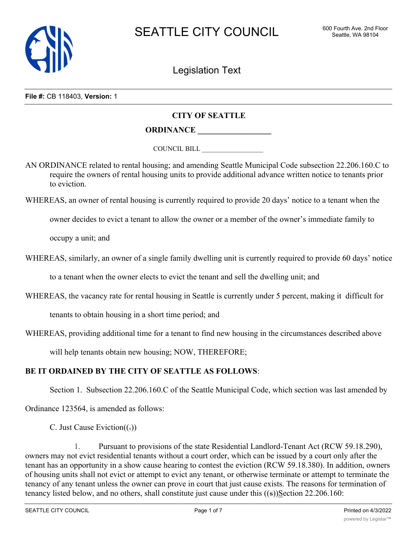

Legislation Text

**File #:** CB 118403, **Version:** 1

# **CITY OF SEATTLE**

**ORDINANCE \_\_\_\_\_\_\_\_\_\_\_\_\_\_\_\_\_\_**

COUNCIL BILL \_\_\_\_\_\_\_\_\_\_\_\_\_\_\_\_\_\_

AN ORDINANCE related to rental housing; and amending Seattle Municipal Code subsection 22.206.160.C to require the owners of rental housing units to provide additional advance written notice to tenants prior to eviction.

WHEREAS, an owner of rental housing is currently required to provide 20 days' notice to a tenant when the

owner decides to evict a tenant to allow the owner or a member of the owner's immediate family to

occupy a unit; and

WHEREAS, similarly, an owner of a single family dwelling unit is currently required to provide 60 days' notice

to a tenant when the owner elects to evict the tenant and sell the dwelling unit; and

WHEREAS, the vacancy rate for rental housing in Seattle is currently under 5 percent, making it difficult for

tenants to obtain housing in a short time period; and

WHEREAS, providing additional time for a tenant to find new housing in the circumstances described above

will help tenants obtain new housing; NOW, THEREFORE;

# **BE IT ORDAINED BY THE CITY OF SEATTLE AS FOLLOWS**:

Section 1. Subsection 22.206.160.C of the Seattle Municipal Code, which section was last amended by

Ordinance 123564, is amended as follows:

C. Just Cause Eviction( $(-)$ )

1. Pursuant to provisions of the state Residential Landlord-Tenant Act (RCW 59.18.290), owners may not evict residential tenants without a court order, which can be issued by a court only after the tenant has an opportunity in a show cause hearing to contest the eviction (RCW 59.18.380). In addition, owners of housing units shall not evict or attempt to evict any tenant, or otherwise terminate or attempt to terminate the tenancy of any tenant unless the owner can prove in court that just cause exists. The reasons for termination of tenancy listed below, and no others, shall constitute just cause under this ((s))Section 22.206.160: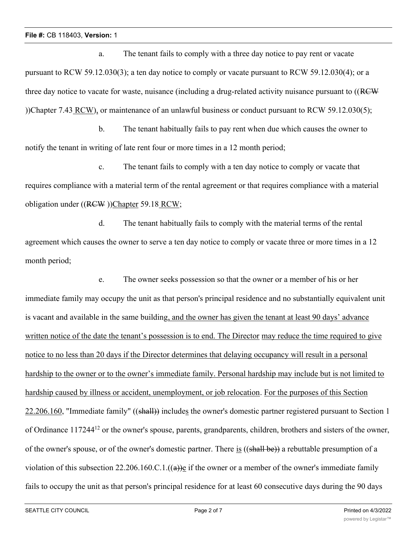a. The tenant fails to comply with a three day notice to pay rent or vacate pursuant to RCW 59.12.030(3); a ten day notice to comply or vacate pursuant to RCW 59.12.030(4); or a three day notice to vacate for waste, nuisance (including a drug-related activity nuisance pursuant to ((RCW ))Chapter 7.43 RCW), or maintenance of an unlawful business or conduct pursuant to RCW 59.12.030(5);

b. The tenant habitually fails to pay rent when due which causes the owner to notify the tenant in writing of late rent four or more times in a 12 month period;

c. The tenant fails to comply with a ten day notice to comply or vacate that requires compliance with a material term of the rental agreement or that requires compliance with a material obligation under ((RCW ))Chapter 59.18 RCW;

d. The tenant habitually fails to comply with the material terms of the rental agreement which causes the owner to serve a ten day notice to comply or vacate three or more times in a 12 month period;

e. The owner seeks possession so that the owner or a member of his or her immediate family may occupy the unit as that person's principal residence and no substantially equivalent unit is vacant and available in the same building, and the owner has given the tenant at least 90 days' advance written notice of the date the tenant's possession is to end. The Director may reduce the time required to give notice to no less than 20 days if the Director determines that delaying occupancy will result in a personal hardship to the owner or to the owner's immediate family. Personal hardship may include but is not limited to hardship caused by illness or accident, unemployment, or job relocation. For the purposes of this Section 22.206.160, "Immediate family" ((shall)) includes the owner's domestic partner registered pursuant to Section 1 of Ordinance 11724412 or the owner's spouse, parents, grandparents, children, brothers and sisters of the owner, of the owner's spouse, or of the owner's domestic partner. There is ((shall be)) a rebuttable presumption of a violation of this subsection 22.206.160.C.1. $((a))$  if the owner or a member of the owner's immediate family fails to occupy the unit as that person's principal residence for at least 60 consecutive days during the 90 days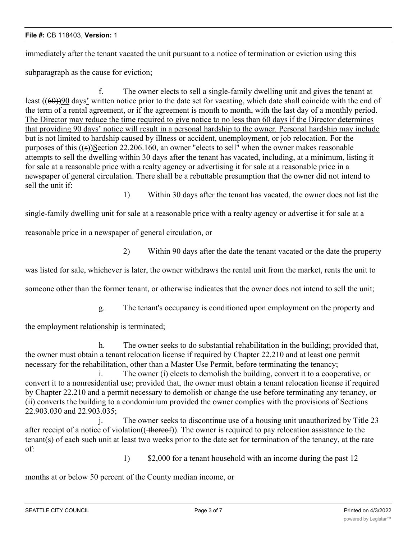### **File #:** CB 118403, **Version:** 1

immediately after the tenant vacated the unit pursuant to a notice of termination or eviction using this

subparagraph as the cause for eviction;

f. The owner elects to sell a single-family dwelling unit and gives the tenant at least ((60))90 days' written notice prior to the date set for vacating, which date shall coincide with the end of the term of a rental agreement, or if the agreement is month to month, with the last day of a monthly period. The Director may reduce the time required to give notice to no less than 60 days if the Director determines that providing 90 days' notice will result in a personal hardship to the owner. Personal hardship may include but is not limited to hardship caused by illness or accident, unemployment, or job relocation. For the purposes of this ((s))Section 22.206.160, an owner "elects to sell" when the owner makes reasonable attempts to sell the dwelling within 30 days after the tenant has vacated, including, at a minimum, listing it for sale at a reasonable price with a realty agency or advertising it for sale at a reasonable price in a newspaper of general circulation. There shall be a rebuttable presumption that the owner did not intend to sell the unit if:

1) Within 30 days after the tenant has vacated, the owner does not list the

single-family dwelling unit for sale at a reasonable price with a realty agency or advertise it for sale at a

reasonable price in a newspaper of general circulation, or

2) Within 90 days after the date the tenant vacated or the date the property

was listed for sale, whichever is later, the owner withdraws the rental unit from the market, rents the unit to

someone other than the former tenant, or otherwise indicates that the owner does not intend to sell the unit;

g. The tenant's occupancy is conditioned upon employment on the property and

the employment relationship is terminated;

h. The owner seeks to do substantial rehabilitation in the building; provided that, the owner must obtain a tenant relocation license if required by Chapter 22.210 and at least one permit necessary for the rehabilitation, other than a Master Use Permit, before terminating the tenancy;

i. The owner (i) elects to demolish the building, convert it to a cooperative, or convert it to a nonresidential use; provided that, the owner must obtain a tenant relocation license if required by Chapter 22.210 and a permit necessary to demolish or change the use before terminating any tenancy, or (ii) converts the building to a condominium provided the owner complies with the provisions of Sections 22.903.030 and 22.903.035;

j. The owner seeks to discontinue use of a housing unit unauthorized by Title 23 after receipt of a notice of violation((+thereof)). The owner is required to pay relocation assistance to the tenant(s) of each such unit at least two weeks prior to the date set for termination of the tenancy, at the rate of:

1) \$2,000 for a tenant household with an income during the past 12

months at or below 50 percent of the County median income, or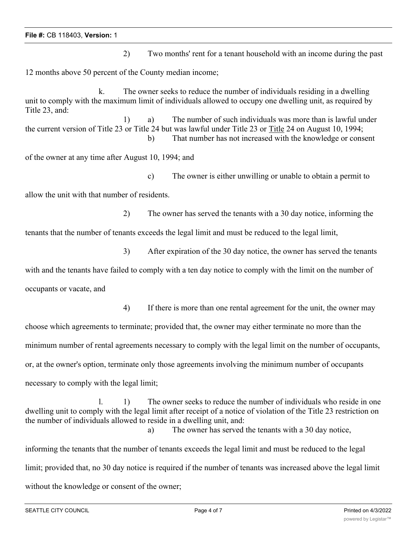#### **File #:** CB 118403, **Version:** 1

2) Two months' rent for a tenant household with an income during the past

12 months above 50 percent of the County median income;

k. The owner seeks to reduce the number of individuals residing in a dwelling unit to comply with the maximum limit of individuals allowed to occupy one dwelling unit, as required by Title 23, and: 1) a) The number of such individuals was more than is lawful under the current version of Title 23 or Title 24 but was lawful under Title 23 or Title 24 on August 10, 1994; b) That number has not increased with the knowledge or consent

of the owner at any time after August 10, 1994; and

c) The owner is either unwilling or unable to obtain a permit to

allow the unit with that number of residents.

2) The owner has served the tenants with a 30 day notice, informing the

tenants that the number of tenants exceeds the legal limit and must be reduced to the legal limit,

3) After expiration of the 30 day notice, the owner has served the tenants

with and the tenants have failed to comply with a ten day notice to comply with the limit on the number of

occupants or vacate, and

4) If there is more than one rental agreement for the unit, the owner may

choose which agreements to terminate; provided that, the owner may either terminate no more than the

minimum number of rental agreements necessary to comply with the legal limit on the number of occupants,

or, at the owner's option, terminate only those agreements involving the minimum number of occupants

necessary to comply with the legal limit;

l. 1) The owner seeks to reduce the number of individuals who reside in one dwelling unit to comply with the legal limit after receipt of a notice of violation of the Title 23 restriction on the number of individuals allowed to reside in a dwelling unit, and: a) The owner has served the tenants with a 30 day notice,

informing the tenants that the number of tenants exceeds the legal limit and must be reduced to the legal limit; provided that, no 30 day notice is required if the number of tenants was increased above the legal limit without the knowledge or consent of the owner;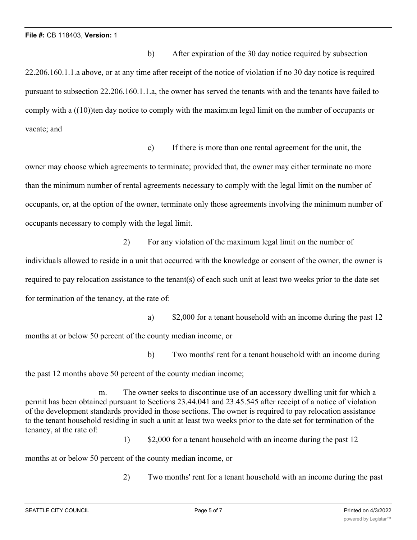b) After expiration of the 30 day notice required by subsection 22.206.160.1.1.a above, or at any time after receipt of the notice of violation if no 30 day notice is required pursuant to subsection 22.206.160.1.1.a, the owner has served the tenants with and the tenants have failed to comply with a  $((10))$ ten day notice to comply with the maximum legal limit on the number of occupants or vacate; and

c) If there is more than one rental agreement for the unit, the owner may choose which agreements to terminate; provided that, the owner may either terminate no more than the minimum number of rental agreements necessary to comply with the legal limit on the number of occupants, or, at the option of the owner, terminate only those agreements involving the minimum number of occupants necessary to comply with the legal limit.

individuals allowed to reside in a unit that occurred with the knowledge or consent of the owner, the owner is required to pay relocation assistance to the tenant(s) of each such unit at least two weeks prior to the date set for termination of the tenancy, at the rate of:

2) For any violation of the maximum legal limit on the number of

a) \$2,000 for a tenant household with an income during the past 12 months at or below 50 percent of the county median income, or

b) Two months' rent for a tenant household with an income during

the past 12 months above 50 percent of the county median income;

m. The owner seeks to discontinue use of an accessory dwelling unit for which a permit has been obtained pursuant to Sections 23.44.041 and 23.45.545 after receipt of a notice of violation of the development standards provided in those sections. The owner is required to pay relocation assistance to the tenant household residing in such a unit at least two weeks prior to the date set for termination of the tenancy, at the rate of:

1) \$2,000 for a tenant household with an income during the past 12

months at or below 50 percent of the county median income, or

2) Two months' rent for a tenant household with an income during the past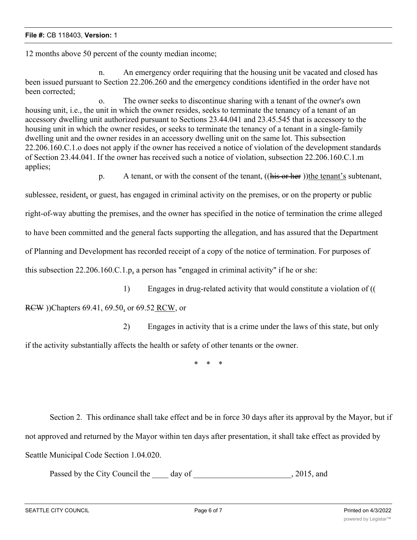12 months above 50 percent of the county median income;

n. An emergency order requiring that the housing unit be vacated and closed has been issued pursuant to Section 22.206.260 and the emergency conditions identified in the order have not been corrected;

o. The owner seeks to discontinue sharing with a tenant of the owner's own housing unit, i.e., the unit in which the owner resides, seeks to terminate the tenancy of a tenant of an accessory dwelling unit authorized pursuant to Sections 23.44.041 and 23.45.545 that is accessory to the housing unit in which the owner resides, or seeks to terminate the tenancy of a tenant in a single-family dwelling unit and the owner resides in an accessory dwelling unit on the same lot. This subsection 22.206.160.C.1.o does not apply if the owner has received a notice of violation of the development standards of Section 23.44.041. If the owner has received such a notice of violation, subsection 22.206.160.C.1.m applies;

p. A tenant, or with the consent of the tenant, ((his or her ))the tenant's subtenant,

sublessee, resident, or guest, has engaged in criminal activity on the premises, or on the property or public

right-of-way abutting the premises, and the owner has specified in the notice of termination the crime alleged

to have been committed and the general facts supporting the allegation, and has assured that the Department

of Planning and Development has recorded receipt of a copy of the notice of termination. For purposes of

this subsection 22.206.160.C.1.p, a person has "engaged in criminal activity" if he or she:

1) Engages in drug-related activity that would constitute a violation of ((

RCW ))Chapters 69.41, 69.50, or 69.52 RCW, or

2) Engages in activity that is a crime under the laws of this state, but only if the activity substantially affects the health or safety of other tenants or the owner.

\* \* \*

Section 2. This ordinance shall take effect and be in force 30 days after its approval by the Mayor, but if not approved and returned by the Mayor within ten days after presentation, it shall take effect as provided by Seattle Municipal Code Section 1.04.020.

Passed by the City Council the \_\_\_\_\_ day of \_\_\_\_\_\_\_\_\_\_\_\_\_\_\_\_\_\_\_\_\_\_\_\_\_\_\_\_\_\_, 2015, and